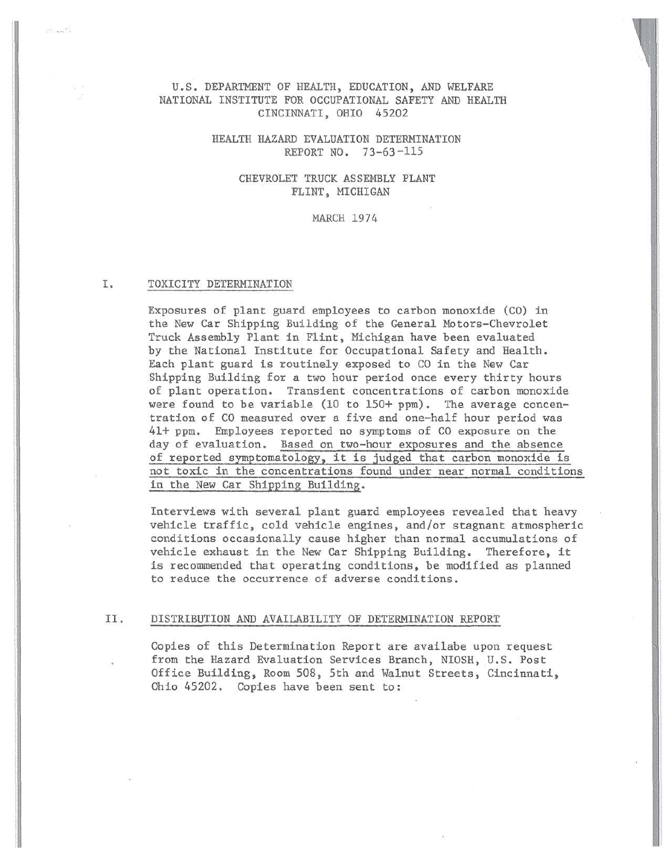# U.S. DEPARTMENT OF HEALTH, EDUCATION, AND WELFARE NATIONAL INSTITUTE FOR OCCUPATIONAL SAFETY AND HEALTH CINCINNATI, OHIO 45202

# HEALTH HAZARD EVALUATION DETERMINATION REPORT NO. 73-63-115

# CHEVROLET TRUCK ASSEMBLY PLANT FLINT, MICHIGAN

#### MARCH 1974

## I. TOXICITY DETERMINATION

 $-10$ 

Exposures of plant guard employees to carbon monoxide (CO) in the New Car Shipping Building of the General Motors-Chevrolet Truck Assembly Plant in Flint, Michigan have been evaluated by the National Institute for Occupational Safety and Health. Each plant guard is routinely exposed to CO in the New Car Shipping Building for a two hour period once every thirty hours of plant operation. Transient concentrations of carbon monoxide were found to be variable (10 to 150+ ppm). The average concentration of CO measured over a five and one-half hour period was 41+ ppm. Employees reported no symptoms of CO exposure on the day of evaluation. Based on two-hour exposures and the absence of reported symptomatology, it is judged that carbon monoxide is not toxic in the concentrations found under near normal conditions in the New Car Shipping Building.

Interviews with several plant guard employees revealed that heavy vehicle traffic, cold vehicle engines, and/or stagnant atmospheric conditions occasionally cause higher than normal accumulations of vehicle exhaust in the New Car Shipping Building. Therefore, it is recommended that operating conditions, be modified as planned to reduce the occurrence of adverse conditions.

# II. DISTRIBUTION AND AVAILABILITY OF DETERMINATION REPORT

Copies of this Determination Report are availabe upon request from the Hazard Evaluation Services Branch, NIOSH, U.S. Post Office Building, Room 508, 5th and Walnut Streets, Cincinnati, Ohio 45202. Copies have been sent to: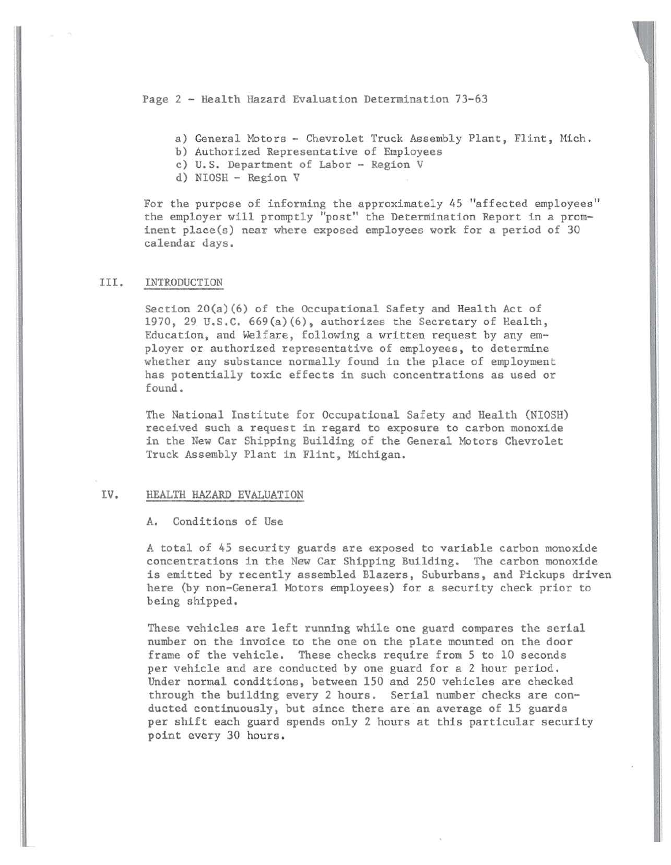Page 2 - Health Hazard Evaluation Determination 73-63

a) General Motors - Chevrolet Truck Assembly Plant, Flint, Mich.

b) Authorized Representative of Employees

c) U.S. Department of Labor - Region V

d) NIOSH - Region V

For the purpose of informing the approximately 45 "affected employees" the employer will promptly "post" the Determination Report in a prominent place(s) near where exposed employees work for a period of 30 calendar days.

#### III. INTRODUCTION

Section  $20(a)(6)$  of the Occupational Safety and Health Act of 1970, 29 u.s.c. 669(a)(6), authorizes the Secretary of Health, Education, and Welfare, following a written request by any employer or authorized representative of employees, to determine whether any substance normally found in the place of employment has potentially toxic effects in such concentrations as used or found.

The National Institute for Occupational Safety and Health (NIOSH) received such a request in regard to exposure to carbon monoxide in the New Car Shipping Building of the General Motors Chevrolet Truck Assembly Plant in Flint, Michigan.

# IV. HEALTH HAZARD EVALUATION

A. Conditions of Use

A total of 45 security guards are exposed to variable carbon monoxide concentrations in the New Car Shipping Building. The carbon monoxide is emitted by recently assembled Blazers, Suburbans, and Pickups driven here (by non-General Motors employees) for a security check prior to being shipped.

These vehicles are left running while one guard compares the serial number on the invoice to the one on the plate mounted on the door frame of the vehicle. These checks require from 5 to 10 seconds per vehicle and are conducted by one guard for a 2 hour period. Under normal conditions, between 150 and 250 vehicles are checked through the building every 2 hours. Serial number checks are conducted continuously, but since there are an average of 15 guards per shift each guard spends only 2 hours at this particular security point every 30 hours.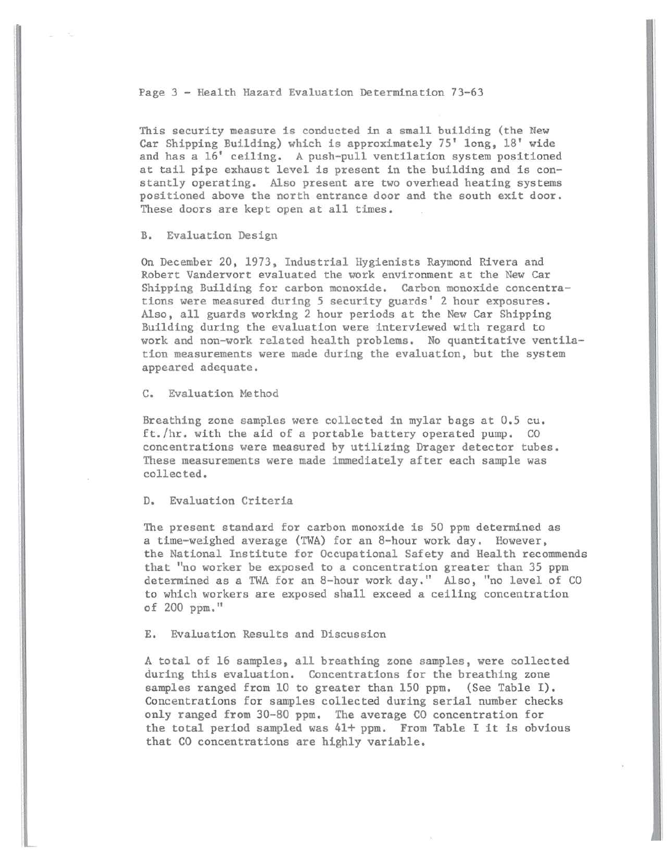Page 3 - Health Hazard Evaluation Determination 73-63

This security measure is conducted in a small building (the New Car Shipping Building) which is approximately 75' long, 18' wide and has a 16' ceiling. A push-pull ventilation system positioned at tail pipe exhaust level is present in the building and is constantly operating. Also present are two overhead heating systems positioned above the north entrance door and the south exit door. These doors are kept open at all times.

B. Evaluation Design

On December 20, 1973, Industrial Hygienists Raymond Rivera and Robert Vandervort evaluated the work environment at the New Car Shipping Building for carbon monoxide. Carbon monoxide concentrations were measured during 5 security guards' 2 hour exposures. Also, all guards working 2 hour periods at the New Car Shipping Building during the evaluation were interviewed with regard to work and non-work related health problems. No quantitative ventilation measurements were made during the evaluation, but the system appeared adequate.

C. Evaluation Method

Breathing zone samples were collected in mylar bags at 0.5 cu. ft./hr. with the aid of a portable battery operated pump. CO concentrations were measured by utilizing Drager detector tubes. These measurements were made immediately after each sample was collected.

D. Evaluation Criteria

The present standard for carbon monoxide is 50 ppm determined as a time-weighed average (TWA) for an 8-hour work day. However, the National Institute for Occupational Safety and Health recommends that "no worker be exposed to a concentration greater than 35 ppm determined as a TWA for an 8-hour work day." Also, "no level of CO to which workers are exposed shall exceed a ceiling concentration of 200 ppm."

E. Evaluation Results and Discussion

A total of 16 samples, all breathing zone samples, were collected during this evaluation. Concentrations for the breathing zone samples ranged from 10 to greater than 150 ppm. (See Table I). Concentrations for samples collected during serial number checks only ranged from 30-80 ppm. The average CO concentration for the total period sampled was 41+ ppm. From Table I it is obvious that CO concentrations are highly variable.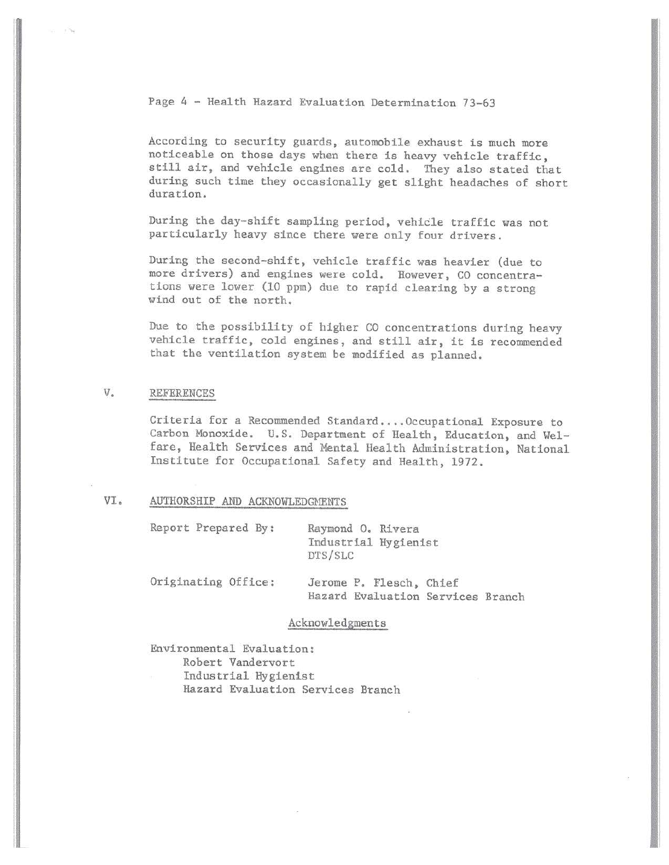Page 4 - Health Hazard Evaluation Determination 73-63

According to security guards, automobile exhaust is much more noticeable on those days when there is heavy vehicle traffic, still air, and vehicle engines are cold. They also stated that during such time they occasionally get slight headaches of short duration.

During the day-shift sampling period, vehicle traffic was not particularly heavy since there were only four drivers.

During the second-shift, vehicle traffic was heavier (due to more drivers) and engines were cold. However, CO concentrations were lower (10 ppm) due to rapid clearing by a strong wind out of the north.

Due to the possibility of higher CO concentrations during heavy vehicle traffic, cold engines, and still air, it is recommended that the ventilation system be modified as planned.

# v. REFERENCES

. ........

Criteria for a Recommended Standard.... Occupational Exposure to Carbon Monoxide. U.S. Department of Health, Education, and Welfare, Health Services and Mental Health Administration, National Institute for Occupational Safety and Health, 1972.

## VI. AUTHORSHIP AND ACKNOWLEDGMENTS

Report Prepared By: Raymond O. Rivera

Industrial Hygienist DTS/SLC

 $\mathbb{I}$ 

Originating Office: Jerome P. Flesch, Chief Hazard Evaluation Services Branch

#### Acknowledgments

Environmental Evaluation:

Robert Vandervort

Industrial Hygienist Hazard Evaluation Services Branch